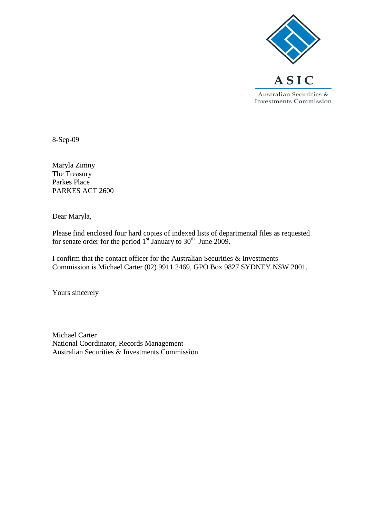

8-Sep-09

Maryla Zimny The Treasury Parkes Place PARKES ACT 2600

Dear Maryla,

Please find enclosed four hard copies of indexed lists of departmental files as requested for senate order for the period  $1<sup>st</sup>$  January to  $30<sup>th</sup>$  June 2009.

I confirm that the contact officer for the Australian Securities & Investments Commission is Michael Carter (02) 9911 2469, GPO Box 9827 SYDNEY NSW 2001.

Yours sincerely

Michael Carter National Coordinator, Records Management Australian Securities & Investments Commission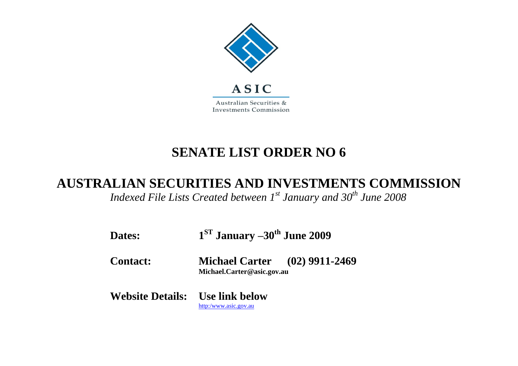

## **SENATE LIST ORDER NO 6**

## **AUSTRALIAN SECURITIES AND INVESTMENTS COMMISSION**

*Indexed File Lists Created between 1st January and 30th June 2008*

| Dates:                                 | $1ST$ January $-30th$ June 2009                                    |  |
|----------------------------------------|--------------------------------------------------------------------|--|
| <b>Contact:</b>                        | <b>Michael Carter</b> (02) 9911-2469<br>Michael.Carter@asic.gov.au |  |
| <b>Website Details:</b> Use link below | http:/www.asic.gov.au                                              |  |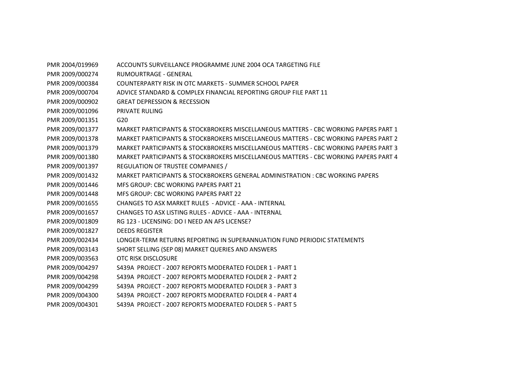PMR 2004/019969 ACCOUNTS SURVEILLANCE PROGRAMME JUNE 2004 OCA TARGETING FILE PMR 2009/000274 RUMOURTRAGE - GENERAL PMR 2009/000384 COUNTERPARTY RISK IN OTC MARKETS - SUMMER SCHOOL PAPER PMR 2009/000704 ADVICE STANDARD & COMPLEX FINANCIAL REPORTING GROUP FILE PART 11 PMR 2009/000902 GREAT DEPRESSION & RECESSION PMR 2009/001096 PRIVATE RULING PMR 2009/001351 G20 PMR 2009/001377 MARKET PARTICIPANTS & STOCKBROKERS MISCELLANEOUS MATTERS - CBC WORKING PAPERS PART 1 PMR 2009/001378 MARKET PARTICIPANTS & STOCKBROKERS MISCELLANEOUS MATTERS - CBC WORKING PAPERS PART 2 PMR 2009/001379 MARKET PARTICIPANTS & STOCKBROKERS MISCELLANEOUS MATTERS - CBC WORKING PAPERS PART 3 PMR 2009/001380 MARKET PARTICIPANTS & STOCKBROKERS MISCELLANEOUS MATTERS - CBC WORKING PAPERS PART 4 PMR 2009/001397 REGULATION OF TRUSTEE COMPANIES / PMR 2009/001432 MARKET PARTICIPANTS & STOCKBROKERS GENERAL ADMINISTRATION : CBC WORKING PAPERS PMR 2009/001446 MFS GROUP: CBC WORKING PAPERS PART 21 PMR 2009/001448 MFS GROUP: CBC WORKING PAPERS PART 22 PMR 2009/001655 CHANGES TO ASX MARKET RULES - ADVICE - AAA - INTERNAL PMR 2009/001657 CHANGES TO ASX LISTING RULES - ADVICE - AAA - INTERNAL PMR 2009/001809 RG 123 - LICENSING: DO I NEED AN AFS LICENSE? PMR 2009/001827 DEEDS REGISTER PMR 2009/002434 LONGER-TERM RETURNS REPORTING IN SUPERANNUATION FUND PERIODIC STATEMENTS PMR 2009/003143 SHORT SELLING (SEP 08) MARKET QUERIES AND ANSWERS PMR 2009/003563 OTC RISK DISCLOSURE PMR 2009/004297 S439A PROJECT - 2007 REPORTS MODERATED FOLDER 1 - PART 1 PMR 2009/004298 S439A PROJECT - 2007 REPORTS MODERATED FOLDER 2 - PART 2 PMR 2009/004299 S439A PROJECT - 2007 REPORTS MODERATED FOLDER 3 - PART 3 PMR 2009/004300 S439A PROJECT - 2007 REPORTS MODERATED FOLDER 4 - PART 4 PMR 2009/004301 S439A PROJECT - 2007 REPORTS MODERATED FOLDER 5 - PART 5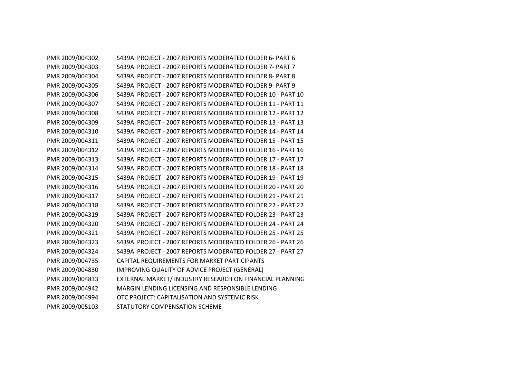PMR 2009/004302 S439A PROJECT - 2007 REPORTS MODERATED FOLDER 6- PART 6 PMR 2009/004303 S439A PROJECT - 2007 REPORTS MODERATED FOLDER 7- PART 7 PMR 2009/004304 S439A PROJECT - 2007 REPORTS MODERATED FOLDER 8- PART 8 PMR 2009/004305 S439A PROJECT - 2007 REPORTS MODERATED FOLDER 9- PART 9 PMR 2009/004306 S439A PROJECT - 2007 REPORTS MODERATED FOLDER 10 - PART 10 PMR 2009/004307 S439A PROJECT - 2007 REPORTS MODERATED FOLDER 11 - PART 11 PMR 2009/004308 S439A PROJECT - 2007 REPORTS MODERATED FOLDER 12 - PART 12 PMR 2009/004309 S439A PROJECT - 2007 REPORTS MODERATED FOLDER 13 - PART 13 PMR 2009/004310 S439A PROJECT - 2007 REPORTS MODERATED FOLDER 14 - PART 14 PMR 2009/004311 S439A PROJECT - 2007 REPORTS MODERATED FOLDER 15 - PART 15 PMR 2009/004312 S439A PROJECT - 2007 REPORTS MODERATED FOLDER 16 - PART 16 PMR 2009/004313 S439A PROJECT - 2007 REPORTS MODERATED FOLDER 17 - PART 17 PMR 2009/004314 S439A PROJECT - 2007 REPORTS MODERATED FOLDER 18 - PART 18 PMR 2009/004315 S439A PROJECT - 2007 REPORTS MODERATED FOLDER 19 - PART 19 PMR 2009/004316 S439A PROJECT - 2007 REPORTS MODERATED FOLDER 20 - PART 20 PMR 2009/004317 S439A PROJECT - 2007 REPORTS MODERATED FOLDER 21 - PART 21 PMR 2009/004318 S439A PROJECT - 2007 REPORTS MODERATED FOLDER 22 - PART 22 PMR 2009/004319 S439A PROJECT - 2007 REPORTS MODERATED FOLDER 23 - PART 23 PMR 2009/004320 S439A PROJECT - 2007 REPORTS MODERATED FOLDER 24 - PART 24 PMR 2009/004321 S439A PROJECT - 2007 REPORTS MODERATED FOLDER 25 - PART 25 PMR 2009/004323 S439A PROJECT - 2007 REPORTS MODERATED FOLDER 26 - PART 26 PMR 2009/004324 S439A PROJECT - 2007 REPORTS MODERATED FOLDER 27 - PART 27 PMR 2009/004735 CAPITAL REQUIREMENTS FOR MARKET PARTICIPANTS PMR 2009/004830 IMPROVING QUALITY OF ADVICE PROJECT (GENERAL) PMR 2009/004833 EXTERNAL MARKET/ INDUSTRY RESEARCH ON FINANCIAL PLANNING PMR 2009/004942 MARGIN LENDING LICENSING AND RESPONSIBLE LENDING PMR 2009/004994 OTC PROJECT: CAPITALISATION AND SYSTEMIC RISK PMR 2009/005103 STATUTORY COMPENSATION SCHEME